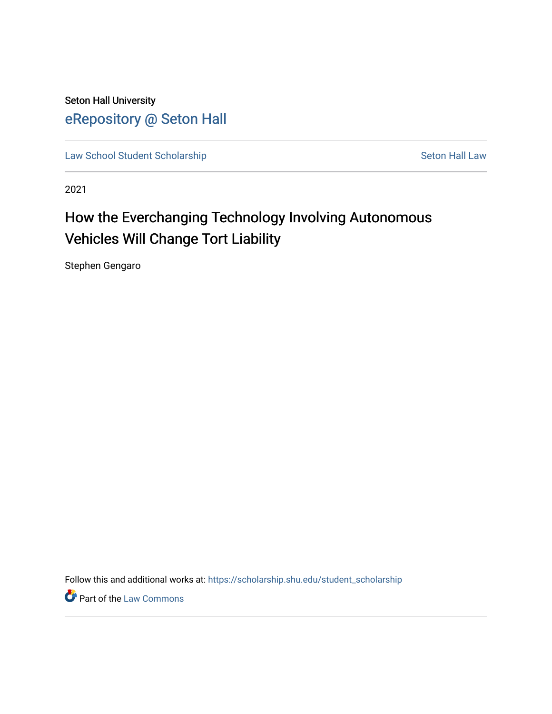Seton Hall University [eRepository @ Seton Hall](https://scholarship.shu.edu/)

[Law School Student Scholarship](https://scholarship.shu.edu/student_scholarship) Seton Hall Law

2021

# How the Everchanging Technology Involving Autonomous Vehicles Will Change Tort Liability

Stephen Gengaro

Follow this and additional works at: [https://scholarship.shu.edu/student\\_scholarship](https://scholarship.shu.edu/student_scholarship?utm_source=scholarship.shu.edu%2Fstudent_scholarship%2F1137&utm_medium=PDF&utm_campaign=PDFCoverPages) 

**Part of the [Law Commons](http://network.bepress.com/hgg/discipline/578?utm_source=scholarship.shu.edu%2Fstudent_scholarship%2F1137&utm_medium=PDF&utm_campaign=PDFCoverPages)**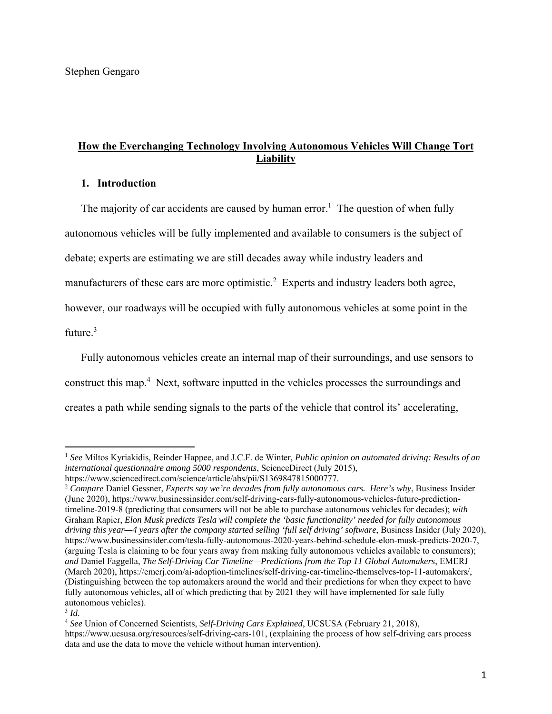# **How the Everchanging Technology Involving Autonomous Vehicles Will Change Tort Liability**

# **1. Introduction**

The majority of car accidents are caused by human error.<sup>1</sup> The question of when fully autonomous vehicles will be fully implemented and available to consumers is the subject of debate; experts are estimating we are still decades away while industry leaders and manufacturers of these cars are more optimistic.<sup>2</sup> Experts and industry leaders both agree, however, our roadways will be occupied with fully autonomous vehicles at some point in the future. $3$ 

Fully autonomous vehicles create an internal map of their surroundings, and use sensors to construct this map.<sup>4</sup> Next, software inputted in the vehicles processes the surroundings and creates a path while sending signals to the parts of the vehicle that control its' accelerating,

<sup>1</sup> *See* Miltos Kyriakidis, Reinder Happee, and J.C.F. de Winter, *Public opinion on automated driving: Results of an international questionnaire among 5000 respondents*, ScienceDirect (July 2015),

https://www.sciencedirect.com/science/article/abs/pii/S1369847815000777. 2 *Compare* Daniel Gessner, *Experts say we're decades from fully autonomous cars. Here's why*, Business Insider

<sup>(</sup>June 2020), https://www.businessinsider.com/self-driving-cars-fully-autonomous-vehicles-future-predictiontimeline-2019-8 (predicting that consumers will not be able to purchase autonomous vehicles for decades); *with* Graham Rapier, *Elon Musk predicts Tesla will complete the 'basic functionality' needed for fully autonomous driving this year—4 years after the company started selling 'full self driving' software*, Business Insider (July 2020), https://www.businessinsider.com/tesla-fully-autonomous-2020-years-behind-schedule-elon-musk-predicts-2020-7, (arguing Tesla is claiming to be four years away from making fully autonomous vehicles available to consumers); *and* Daniel Faggella, *The Self-Driving Car Timeline—Predictions from the Top 11 Global Automakers*, EMERJ (March 2020), https://emerj.com/ai-adoption-timelines/self-driving-car-timeline-themselves-top-11-automakers/, (Distinguishing between the top automakers around the world and their predictions for when they expect to have fully autonomous vehicles, all of which predicting that by 2021 they will have implemented for sale fully autonomous vehicles).

 $3$  *Id.* 

<sup>4</sup> *See* Union of Concerned Scientists, *Self-Driving Cars Explained*, UCSUSA (February 21, 2018), https://www.ucsusa.org/resources/self-driving-cars-101, (explaining the process of how self-driving cars process data and use the data to move the vehicle without human intervention).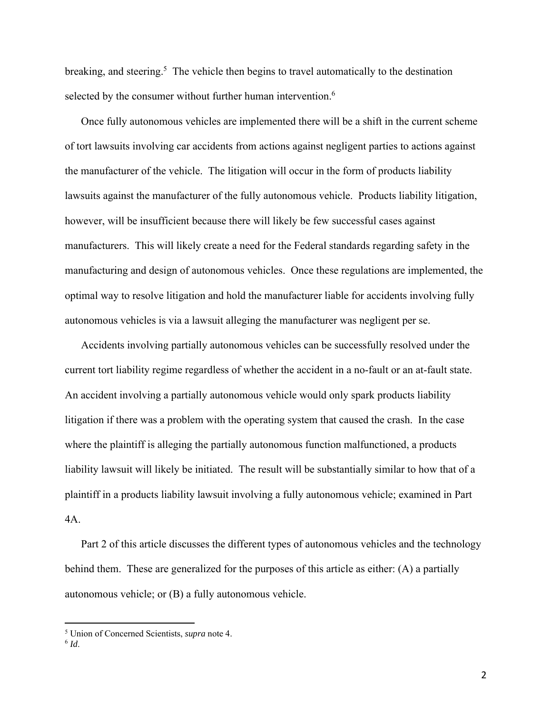breaking, and steering.<sup>5</sup> The vehicle then begins to travel automatically to the destination selected by the consumer without further human intervention.<sup>6</sup>

Once fully autonomous vehicles are implemented there will be a shift in the current scheme of tort lawsuits involving car accidents from actions against negligent parties to actions against the manufacturer of the vehicle. The litigation will occur in the form of products liability lawsuits against the manufacturer of the fully autonomous vehicle. Products liability litigation, however, will be insufficient because there will likely be few successful cases against manufacturers. This will likely create a need for the Federal standards regarding safety in the manufacturing and design of autonomous vehicles. Once these regulations are implemented, the optimal way to resolve litigation and hold the manufacturer liable for accidents involving fully autonomous vehicles is via a lawsuit alleging the manufacturer was negligent per se.

Accidents involving partially autonomous vehicles can be successfully resolved under the current tort liability regime regardless of whether the accident in a no-fault or an at-fault state. An accident involving a partially autonomous vehicle would only spark products liability litigation if there was a problem with the operating system that caused the crash. In the case where the plaintiff is alleging the partially autonomous function malfunctioned, a products liability lawsuit will likely be initiated. The result will be substantially similar to how that of a plaintiff in a products liability lawsuit involving a fully autonomous vehicle; examined in Part 4A.

Part 2 of this article discusses the different types of autonomous vehicles and the technology behind them. These are generalized for the purposes of this article as either: (A) a partially autonomous vehicle; or (B) a fully autonomous vehicle.

<sup>5</sup> Union of Concerned Scientists, *supra* note 4.

<sup>6</sup> *Id*.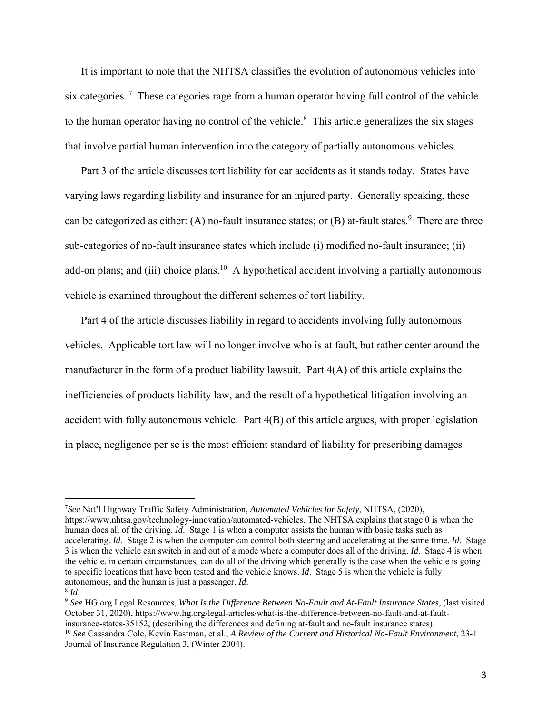It is important to note that the NHTSA classifies the evolution of autonomous vehicles into six categories.<sup>7</sup> These categories rage from a human operator having full control of the vehicle to the human operator having no control of the vehicle.<sup>8</sup> This article generalizes the six stages that involve partial human intervention into the category of partially autonomous vehicles.

Part 3 of the article discusses tort liability for car accidents as it stands today. States have varying laws regarding liability and insurance for an injured party. Generally speaking, these can be categorized as either: (A) no-fault insurance states; or (B) at-fault states.<sup>9</sup> There are three sub-categories of no-fault insurance states which include (i) modified no-fault insurance; (ii) add-on plans; and (iii) choice plans.<sup>10</sup> A hypothetical accident involving a partially autonomous vehicle is examined throughout the different schemes of tort liability.

Part 4 of the article discusses liability in regard to accidents involving fully autonomous vehicles. Applicable tort law will no longer involve who is at fault, but rather center around the manufacturer in the form of a product liability lawsuit. Part  $4(A)$  of this article explains the inefficiencies of products liability law, and the result of a hypothetical litigation involving an accident with fully autonomous vehicle. Part 4(B) of this article argues, with proper legislation in place, negligence per se is the most efficient standard of liability for prescribing damages

<sup>7</sup> *See* Nat'l Highway Traffic Safety Administration, *Automated Vehicles for Safety*, NHTSA, (2020), https://www.nhtsa.gov/technology-innovation/automated-vehicles. The NHTSA explains that stage 0 is when the human does all of the driving. *Id*. Stage 1 is when a computer assists the human with basic tasks such as accelerating. *Id*. Stage 2 is when the computer can control both steering and accelerating at the same time. *Id*. Stage 3 is when the vehicle can switch in and out of a mode where a computer does all of the driving. *Id*. Stage 4 is when the vehicle, in certain circumstances, can do all of the driving which generally is the case when the vehicle is going to specific locations that have been tested and the vehicle knows. *Id*. Stage 5 is when the vehicle is fully autonomous, and the human is just a passenger. *Id*.<br><sup>8</sup> *Id*. 8 *Id*. 9 *See* HG.org Legal Resources, *What Is the Difference Between No-Fault and At-Fault Insurance States*, (last visited by *See* HG.org Legal Resources,

October 31, 2020), https://www.hg.org/legal-articles/what-is-the-difference-between-no-fault-and-at-faultinsurance-states-35152, (describing the differences and defining at-fault and no-fault insurance states).

<sup>10</sup> *See* Cassandra Cole, Kevin Eastman, et al., *A Review of the Current and Historical No-Fault Environment*, 23-1 Journal of Insurance Regulation 3, (Winter 2004).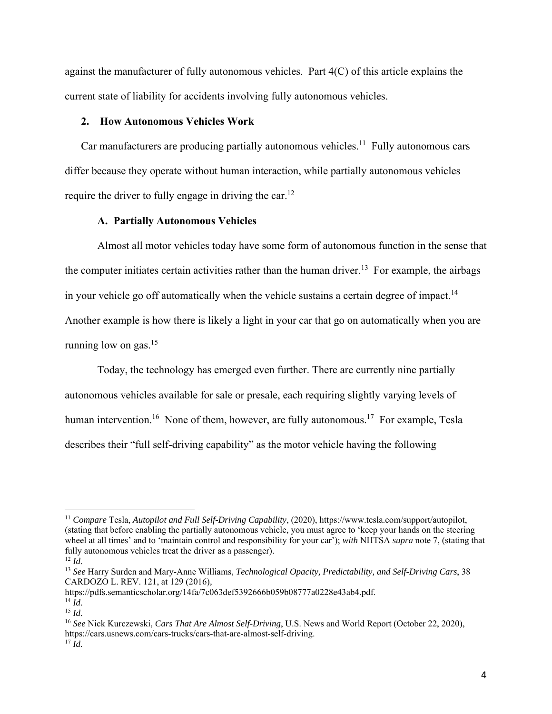against the manufacturer of fully autonomous vehicles. Part 4(C) of this article explains the current state of liability for accidents involving fully autonomous vehicles.

## **2. How Autonomous Vehicles Work**

Car manufacturers are producing partially autonomous vehicles.<sup>11</sup> Fully autonomous cars differ because they operate without human interaction, while partially autonomous vehicles require the driver to fully engage in driving the car.<sup>12</sup>

#### **A. Partially Autonomous Vehicles**

Almost all motor vehicles today have some form of autonomous function in the sense that the computer initiates certain activities rather than the human driver.<sup>13</sup> For example, the airbags in your vehicle go off automatically when the vehicle sustains a certain degree of impact.<sup>14</sup> Another example is how there is likely a light in your car that go on automatically when you are running low on gas. $15$ 

Today, the technology has emerged even further. There are currently nine partially autonomous vehicles available for sale or presale, each requiring slightly varying levels of human intervention.<sup>16</sup> None of them, however, are fully autonomous.<sup>17</sup> For example, Tesla describes their "full self-driving capability" as the motor vehicle having the following

<sup>11</sup> *Compare* Tesla, *Autopilot and Full Self-Driving Capability*, (2020), https://www.tesla.com/support/autopilot, (stating that before enabling the partially autonomous vehicle, you must agree to 'keep your hands on the steering wheel at all times' and to 'maintain control and responsibility for your car'); *with* NHTSA *supra* note 7, (stating that fully autonomous vehicles treat the driver as a passenger).  $^{12}$  *Id.* 

<sup>12</sup> *Id*. 13 *See* Harry Surden and Mary-Anne Williams, *Technological Opacity, Predictability, and Self-Driving Cars*, <sup>38</sup> CARDOZO L. REV. 121, at 129 (2016)*,* 

https://pdfs.semanticscholar.org/14fa/7c063def5392666b059b08777a0228e43ab4.pdf.

<sup>14</sup> *Id*. 15 *Id*. 16 *See* Nick Kurczewski, *Cars That Are Almost Self-Driving*, U.S. News and World Report (October 22, 2020), https://cars.usnews.com/cars-trucks/cars-that-are-almost-self-driving. 17 *Id.*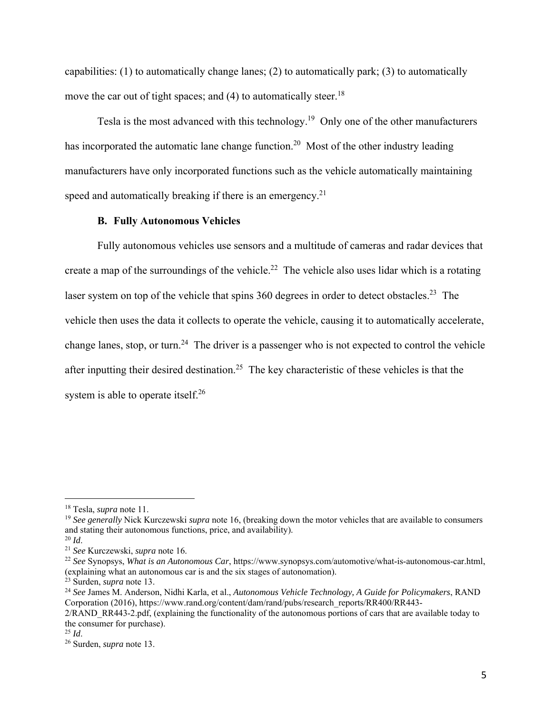capabilities: (1) to automatically change lanes; (2) to automatically park; (3) to automatically move the car out of tight spaces; and  $(4)$  to automatically steer.<sup>18</sup>

Tesla is the most advanced with this technology.<sup>19</sup> Only one of the other manufacturers has incorporated the automatic lane change function.<sup>20</sup> Most of the other industry leading manufacturers have only incorporated functions such as the vehicle automatically maintaining speed and automatically breaking if there is an emergency.<sup>21</sup>

#### **B. Fully Autonomous Vehicles**

Fully autonomous vehicles use sensors and a multitude of cameras and radar devices that create a map of the surroundings of the vehicle.<sup>22</sup> The vehicle also uses lidar which is a rotating laser system on top of the vehicle that spins 360 degrees in order to detect obstacles.<sup>23</sup> The vehicle then uses the data it collects to operate the vehicle, causing it to automatically accelerate, change lanes, stop, or turn.<sup>24</sup> The driver is a passenger who is not expected to control the vehicle after inputting their desired destination.<sup>25</sup> The key characteristic of these vehicles is that the system is able to operate itself.<sup>26</sup>

<sup>18</sup> Tesla, *supra* note 11.

<sup>19</sup> *See generally* Nick Kurczewski *supra* note 16, (breaking down the motor vehicles that are available to consumers and stating their autonomous functions, price, and availability).  $^{20}$  *Id.* 

<sup>&</sup>lt;sup>21</sup> *See* Kurczewski, *supra* note 16.<br><sup>22</sup> *See* Synopsys, *What is an Autonomous Car*, https://www.synopsys.com/automotive/what-is-autonomous-car.html, (explaining what an autonomous car is and the six stages of autonomation).

<sup>&</sup>lt;sup>24</sup> See James M. Anderson, Nidhi Karla, et al., *Autonomous Vehicle Technology, A Guide for Policymakers*, RAND Corporation (2016), https://www.rand.org/content/dam/rand/pubs/research\_reports/RR400/RR443-

<sup>2/</sup>RAND\_RR443-2.pdf, (explaining the functionality of the autonomous portions of cars that are available today to the consumer for purchase).<br> $^{25}$  *Id.* 

<sup>25</sup> *Id*. 26 Surden, *supra* note 13.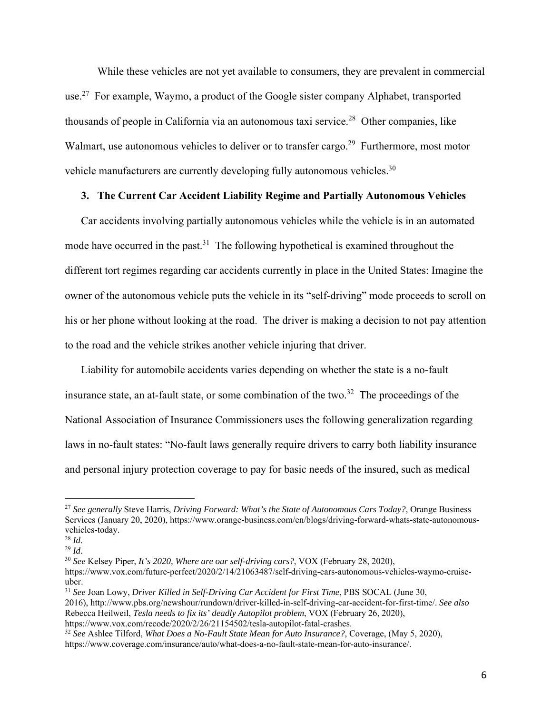While these vehicles are not yet available to consumers, they are prevalent in commercial use.<sup>27</sup> For example, Waymo, a product of the Google sister company Alphabet, transported thousands of people in California via an autonomous taxi service.<sup>28</sup> Other companies, like Walmart, use autonomous vehicles to deliver or to transfer cargo.<sup>29</sup> Furthermore, most motor vehicle manufacturers are currently developing fully autonomous vehicles.<sup>30</sup>

# **3. The Current Car Accident Liability Regime and Partially Autonomous Vehicles**

Car accidents involving partially autonomous vehicles while the vehicle is in an automated mode have occurred in the past.<sup>31</sup> The following hypothetical is examined throughout the different tort regimes regarding car accidents currently in place in the United States: Imagine the owner of the autonomous vehicle puts the vehicle in its "self-driving" mode proceeds to scroll on his or her phone without looking at the road. The driver is making a decision to not pay attention to the road and the vehicle strikes another vehicle injuring that driver.

Liability for automobile accidents varies depending on whether the state is a no-fault insurance state, an at-fault state, or some combination of the two.<sup>32</sup> The proceedings of the National Association of Insurance Commissioners uses the following generalization regarding laws in no-fault states: "No-fault laws generally require drivers to carry both liability insurance and personal injury protection coverage to pay for basic needs of the insured, such as medical

<sup>27</sup> *See generally* Steve Harris, *Driving Forward: What's the State of Autonomous Cars Today?*, Orange Business Services (January 20, 2020), https://www.orange-business.com/en/blogs/driving-forward-whats-state-autonomousvehicles-today.<br> $^{28}$  *Id.* 

<sup>28</sup> *Id*. 29 *Id*. 30 *See* Kelsey Piper, *It's 2020, Where are our self-driving cars?*, VOX (February 28, 2020),

https://www.vox.com/future-perfect/2020/2/14/21063487/self-driving-cars-autonomous-vehicles-waymo-cruiseuber.

<sup>31</sup> *See* Joan Lowy, *Driver Killed in Self-Driving Car Accident for First Time*, PBS SOCAL (June 30,

<sup>2016),</sup> http://www.pbs.org/newshour/rundown/driver-killed-in-self-driving-car-accident-for-first-time/. *See also* Rebecca Heilweil, *Tesla needs to fix its' deadly Autopilot problem*, VOX (February 26, 2020),

https://www.vox.com/recode/2020/2/26/21154502/tesla-autopilot-fatal-crashes.

<sup>32</sup> *See* Ashlee Tilford, *What Does a No-Fault State Mean for Auto Insurance?*, Coverage, (May 5, 2020), https://www.coverage.com/insurance/auto/what-does-a-no-fault-state-mean-for-auto-insurance/.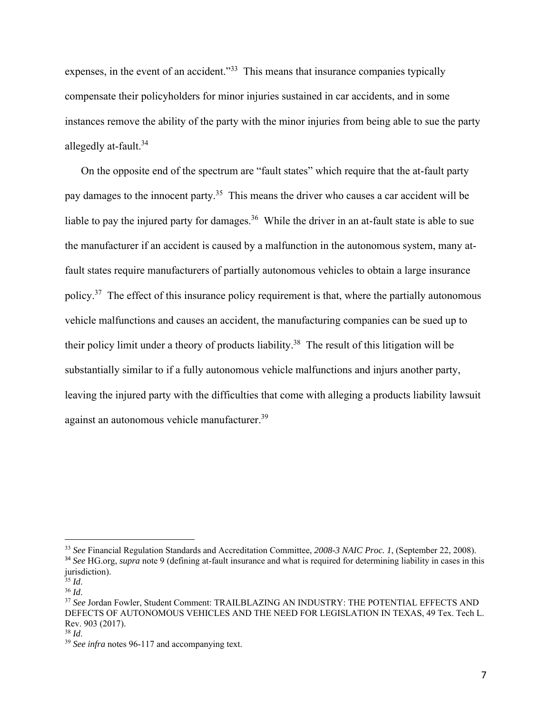expenses, in the event of an accident."<sup>33</sup> This means that insurance companies typically compensate their policyholders for minor injuries sustained in car accidents, and in some instances remove the ability of the party with the minor injuries from being able to sue the party allegedly at-fault.<sup>34</sup>

On the opposite end of the spectrum are "fault states" which require that the at-fault party pay damages to the innocent party.<sup>35</sup> This means the driver who causes a car accident will be liable to pay the injured party for damages.<sup>36</sup> While the driver in an at-fault state is able to sue the manufacturer if an accident is caused by a malfunction in the autonomous system, many atfault states require manufacturers of partially autonomous vehicles to obtain a large insurance policy.37 The effect of this insurance policy requirement is that, where the partially autonomous vehicle malfunctions and causes an accident, the manufacturing companies can be sued up to their policy limit under a theory of products liability.38 The result of this litigation will be substantially similar to if a fully autonomous vehicle malfunctions and injurs another party, leaving the injured party with the difficulties that come with alleging a products liability lawsuit against an autonomous vehicle manufacturer.39

<sup>33</sup> *See* Financial Regulation Standards and Accreditation Committee, *2008-3 NAIC Proc. 1*, (September 22, 2008). <sup>34</sup> *See* HG.org, *supra* note 9 (defining at-fault insurance and what is required for determining liability in cases in this jurisdiction).<br> $^{35}$  *Id.* 

<sup>&</sup>lt;sup>36</sup> *Id.* 36 *Id.* 36 *Id.* 36 *Id.* 36 *Id.* 37 *See* Jordan Fowler, Student: TRAILBLAZING AN INDUSTRY: THE POTENTIAL EFFECTS AND DEFECTS OF AUTONOMOUS VEHICLES AND THE NEED FOR LEGISLATION IN TEXAS, 49 Tex. Tech L. Rev. 903 (2017).

<sup>&</sup>lt;sup>38</sup> *Id.* 39 *See infra* notes 96-117 and accompanying text.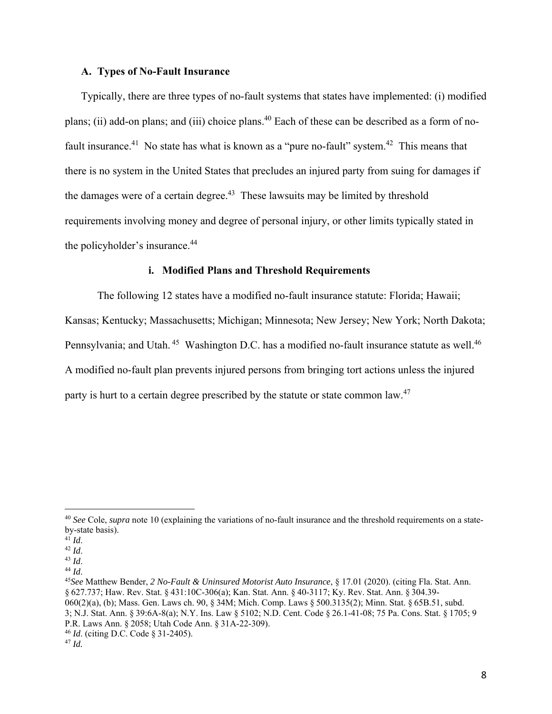## **A. Types of No-Fault Insurance**

Typically, there are three types of no-fault systems that states have implemented: (i) modified plans; (ii) add-on plans; and (iii) choice plans.<sup>40</sup> Each of these can be described as a form of nofault insurance.<sup>41</sup> No state has what is known as a "pure no-fault" system.<sup>42</sup> This means that there is no system in the United States that precludes an injured party from suing for damages if the damages were of a certain degree.<sup>43</sup> These lawsuits may be limited by threshold requirements involving money and degree of personal injury, or other limits typically stated in the policyholder's insurance.<sup>44</sup>

#### **i. Modified Plans and Threshold Requirements**

The following 12 states have a modified no-fault insurance statute: Florida; Hawaii; Kansas; Kentucky; Massachusetts; Michigan; Minnesota; New Jersey; New York; North Dakota; Pennsylvania; and Utah.<sup>45</sup> Washington D.C. has a modified no-fault insurance statute as well.<sup>46</sup> A modified no-fault plan prevents injured persons from bringing tort actions unless the injured party is hurt to a certain degree prescribed by the statute or state common law.<sup>47</sup>

<sup>40</sup> *See* Cole, *supra* note 10 (explaining the variations of no-fault insurance and the threshold requirements on a stateby-state basis).<br> $41$  *Id.* 

<sup>42</sup> *Id.*<br><sup>43</sup> *Id.* 44 *Id.* 44 *Id.* 44 *Id.* 44 *Id.* 45 *See* Matthew Bender, *2 No-Fault & Uninsured Motorist Auto Insurance*, § 17.01 (2020). (citing Fla. Stat. Ann. § 627.737; Haw. Rev. Stat. § 431:10C-306(a); Kan. Stat. Ann. § 40-3117; Ky. Rev. Stat. Ann. § 304.39- 060(2)(a), (b); Mass. Gen. Laws ch. 90, § 34M; Mich. Comp. Laws § 500.3135(2); Minn. Stat. § 65B.51, subd. 3; N.J. Stat. Ann. § 39:6A-8(a); N.Y. Ins. Law § 5102; N.D. Cent. Code § 26.1-41-08; 75 Pa. Cons. Stat. § 1705; 9 P.R. Laws Ann. § 2058; Utah Code Ann. § 31A-22-309).

<sup>46</sup> *Id*. (citing D.C. Code § 31-2405).

<sup>47</sup> *Id.*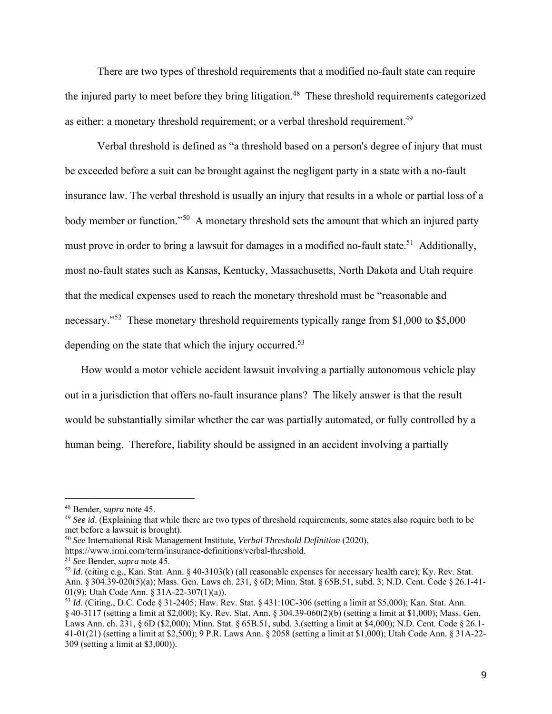There are two types of threshold requirements that a modified no-fault state can require the injured party to meet before they bring litigation.<sup>48</sup> These threshold requirements categorized as either: a monetary threshold requirement; or a verbal threshold requirement.<sup>49</sup>

Verbal threshold is defined as "a threshold based on a person's degree of injury that must be exceeded before a suit can be brought against the negligent party in a state with a no-fault insurance law. The verbal threshold is usually an injury that results in a whole or partial loss of a body member or function."<sup>50</sup> A monetary threshold sets the amount that which an injured party must prove in order to bring a lawsuit for damages in a modified no-fault state.<sup>51</sup> Additionally, most no-fault states such as Kansas, Kentucky, Massachusetts, North Dakota and Utah require that the medical expenses used to reach the monetary threshold must be "reasonable and necessary."<sup>52</sup> These monetary threshold requirements typically range from \$1,000 to \$5,000 depending on the state that which the injury occurred.<sup>53</sup>

How would a motor vehicle accident lawsuit involving a partially autonomous vehicle play out in a jurisdiction that offers no-fault insurance plans? The likely answer is that the result would be substantially similar whether the car was partially automated, or fully controlled by a human being. Therefore, liability should be assigned in an accident involving a partially

<sup>48</sup> Bender, *supra* note 45.

<sup>49</sup> *See id*. (Explaining that while there are two types of threshold requirements, some states also require both to be met before a lawsuit is brought).

<sup>50</sup> *See* International Risk Management Institute, *Verbal Threshold Definition* (2020),

https://www.irmi.com/term/insurance-definitions/verbal-threshold.

<sup>51</sup> *See* Bender, *supra* note 45.

<sup>52</sup> *Id*. (citing e.g*.*, Kan. Stat. Ann. § 40-3103(k) (all reasonable expenses for necessary health care); Ky. Rev. Stat. Ann. § 304.39-020(5)(a); Mass. Gen. Laws ch. 231, § 6D; Minn. Stat. § 65B.51, subd. 3; N.D. Cent. Code § 26.1-41- 01(9); Utah Code Ann. § 31A-22-307(1)(a)).

<sup>53</sup> *Id*. (Citing*.*, D.C. Code § 31-2405; Haw. Rev. Stat. § 431:10C-306 (setting a limit at \$5,000); Kan. Stat. Ann. § 40-3117 (setting a limit at \$2,000); Ky. Rev. Stat. Ann. § 304.39-060(2)(b) (setting a limit at \$1,000); Mass. Gen. Laws Ann. ch. 231, § 6D (\$2,000); Minn. Stat. § 65B.51, subd. 3.(setting a limit at \$4,000); N.D. Cent. Code § 26.1-41-01(21) (setting a limit at \$2,500); 9 P.R. Laws Ann. § 2058 (setting a limit at \$1,000); Utah Code Ann. § 31A-22- 309 (setting a limit at \$3,000)).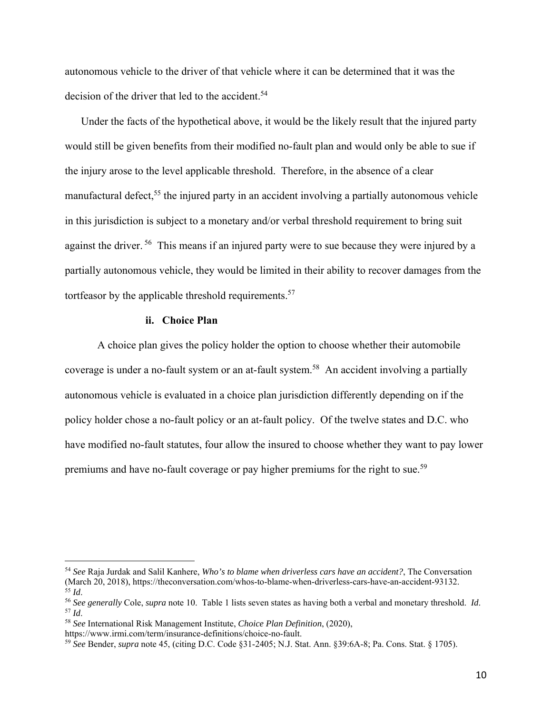autonomous vehicle to the driver of that vehicle where it can be determined that it was the decision of the driver that led to the accident.<sup>54</sup>

Under the facts of the hypothetical above, it would be the likely result that the injured party would still be given benefits from their modified no-fault plan and would only be able to sue if the injury arose to the level applicable threshold. Therefore, in the absence of a clear manufactural defect,<sup>55</sup> the injured party in an accident involving a partially autonomous vehicle in this jurisdiction is subject to a monetary and/or verbal threshold requirement to bring suit against the driver.<sup>56</sup> This means if an injured party were to sue because they were injured by a partially autonomous vehicle, they would be limited in their ability to recover damages from the tortfeasor by the applicable threshold requirements. $57$ 

#### **ii. Choice Plan**

A choice plan gives the policy holder the option to choose whether their automobile coverage is under a no-fault system or an at-fault system.<sup>58</sup> An accident involving a partially autonomous vehicle is evaluated in a choice plan jurisdiction differently depending on if the policy holder chose a no-fault policy or an at-fault policy. Of the twelve states and D.C. who have modified no-fault statutes, four allow the insured to choose whether they want to pay lower premiums and have no-fault coverage or pay higher premiums for the right to sue.<sup>59</sup>

<sup>&</sup>lt;sup>54</sup> *See* Raja Jurdak and Salil Kanhere, *Who's to blame when driverless cars have an accident?*, The Conversation (March 20, 2018), https://theconversation.com/whos-to-blame-when-driverless-cars-have-an-accident-93132.

<sup>&</sup>lt;sup>55</sup> *Id.*<br><sup>56</sup> *See generally* Cole, *supra* note 10. Table 1 lists seven states as having both a verbal and monetary threshold. *Id.*<br><sup>57</sup> *Id.*<br><sup>58</sup> *See* International Risk Management Institute, *Choice Plan Definitio* 

https://www.irmi.com/term/insurance-definitions/choice-no-fault. 59 *See* Bender, *supra* note 45, (citing D.C. Code §31-2405; N.J. Stat. Ann. §39:6A-8; Pa. Cons. Stat. § 1705).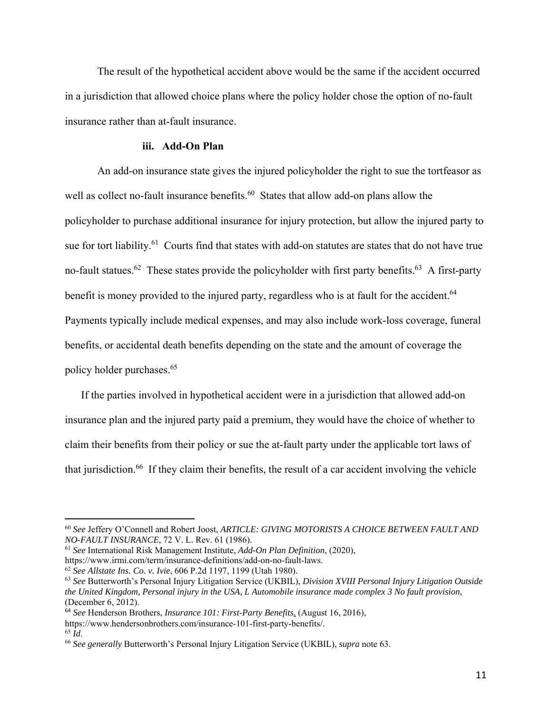The result of the hypothetical accident above would be the same if the accident occurred in a jurisdiction that allowed choice plans where the policy holder chose the option of no-fault insurance rather than at-fault insurance.

## **iii. Add-On Plan**

An add-on insurance state gives the injured policyholder the right to sue the tortfeasor as well as collect no-fault insurance benefits.<sup>60</sup> States that allow add-on plans allow the policyholder to purchase additional insurance for injury protection, but allow the injured party to sue for tort liability.<sup>61</sup> Courts find that states with add-on statutes are states that do not have true no-fault statues.<sup>62</sup> These states provide the policyholder with first party benefits.<sup>63</sup> A first-party benefit is money provided to the injured party, regardless who is at fault for the accident.<sup>64</sup> Payments typically include medical expenses, and may also include work-loss coverage, funeral benefits, or accidental death benefits depending on the state and the amount of coverage the policy holder purchases.65

If the parties involved in hypothetical accident were in a jurisdiction that allowed add-on insurance plan and the injured party paid a premium, they would have the choice of whether to claim their benefits from their policy or sue the at-fault party under the applicable tort laws of that jurisdiction.66 If they claim their benefits, the result of a car accident involving the vehicle

<sup>60</sup> *See* Jeffery O'Connell and Robert Joost, *ARTICLE: GIVING MOTORISTS A CHOICE BETWEEN FAULT AND NO-FAULT INSURANCE,* 72 V. L. Rev. 61 (1986).

<sup>61</sup> *See* International Risk Management Institute, *Add-On Plan Definition*, (2020),

https://www.irmi.com/term/insurance-definitions/add-on-no-fault-laws.

<sup>62</sup> *See Allstate Ins. Co. v. Ivie*, 606 P.2d 1197, 1199 (Utah 1980).

<sup>63</sup> *See* Butterworth's Personal Injury Litigation Service (UKBIL), *Division XVIII Personal Injury Litigation Outside the United Kingdom, Personal injury in the USA, L Automobile insurance made complex 3 No fault provision*, (December 6, 2012).

<sup>64</sup> *See* Henderson Brothers, *Insurance 101: First-Party Benefits*, (August 16, 2016),

https://www.hendersonbrothers.com/insurance-101-first-party-benefits/.

<sup>65</sup> *Id*. 66 *See generally* Butterworth's Personal Injury Litigation Service (UKBIL), *supra* note 63.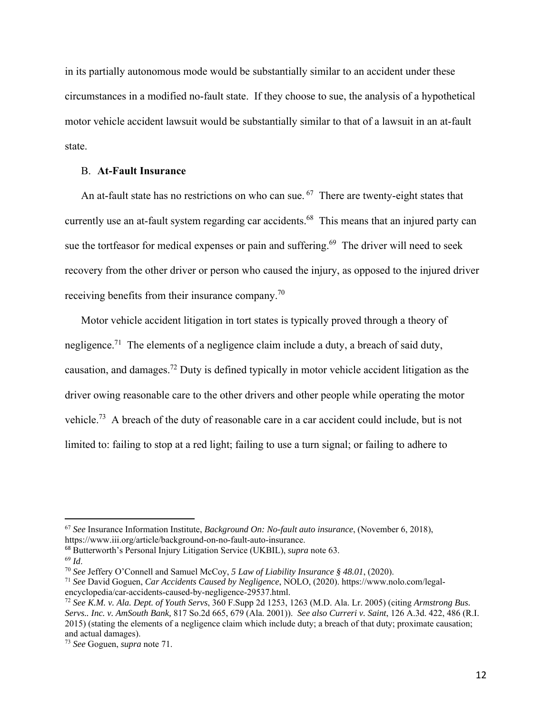in its partially autonomous mode would be substantially similar to an accident under these circumstances in a modified no-fault state. If they choose to sue, the analysis of a hypothetical motor vehicle accident lawsuit would be substantially similar to that of a lawsuit in an at-fault state.

# B. **At-Fault Insurance**

An at-fault state has no restrictions on who can sue.  $67$  There are twenty-eight states that currently use an at-fault system regarding car accidents.<sup>68</sup> This means that an injured party can sue the tortfeasor for medical expenses or pain and suffering.<sup>69</sup> The driver will need to seek recovery from the other driver or person who caused the injury, as opposed to the injured driver receiving benefits from their insurance company.70

Motor vehicle accident litigation in tort states is typically proved through a theory of negligence.<sup>71</sup> The elements of a negligence claim include a duty, a breach of said duty, causation, and damages.72 Duty is defined typically in motor vehicle accident litigation as the driver owing reasonable care to the other drivers and other people while operating the motor vehicle.73 A breach of the duty of reasonable care in a car accident could include, but is not limited to: failing to stop at a red light; failing to use a turn signal; or failing to adhere to

<sup>67</sup> *See* Insurance Information Institute, *Background On: No-fault auto insurance*, (November 6, 2018), https://www.iii.org/article/background-on-no-fault-auto-insurance.

<sup>68</sup> Butterworth's Personal Injury Litigation Service (UKBIL), *supra* note 63.

<sup>69</sup> *Id*. 70 *See* Jeffery O'Connell and Samuel McCoy, *5 Law of Liability Insurance § 48.01*, (2020).

<sup>71</sup> *See* David Goguen, *Car Accidents Caused by Negligence*, NOLO, (2020). https://www.nolo.com/legalencyclopedia/car-accidents-caused-by-negligence-29537.html.

<sup>72</sup> *See K.M. v. Ala. Dept. of Youth Servs*, 360 F.Supp 2d 1253, 1263 (M.D. Ala. Lr. 2005) (citing *Armstrong Bus. Servs.. Inc. v. AmSouth Bank,* 817 So.2d 665, 679 (Ala. 2001)). *See also Curreri v. Saint*, 126 A.3d. 422, 486 (R.I. 2015) (stating the elements of a negligence claim which include duty; a breach of that duty; proximate causation; and actual damages).

<sup>73</sup> *See* Goguen, *supra* note 71.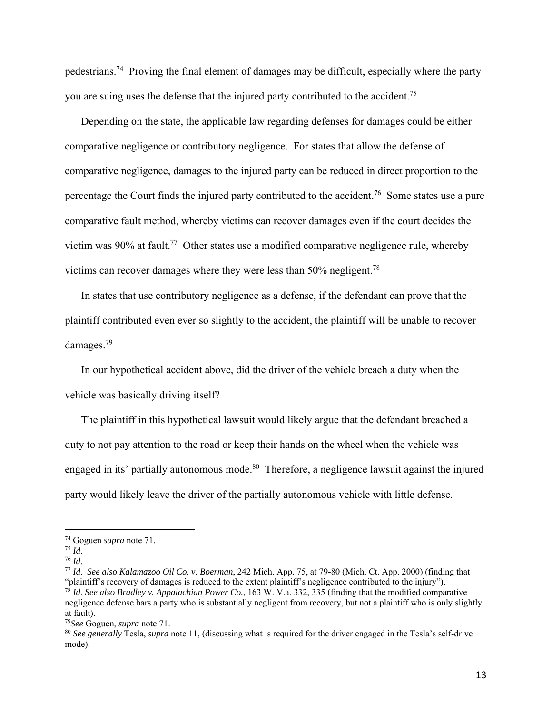pedestrians.74 Proving the final element of damages may be difficult, especially where the party you are suing uses the defense that the injured party contributed to the accident.<sup>75</sup>

Depending on the state, the applicable law regarding defenses for damages could be either comparative negligence or contributory negligence. For states that allow the defense of comparative negligence, damages to the injured party can be reduced in direct proportion to the percentage the Court finds the injured party contributed to the accident.<sup>76</sup> Some states use a pure comparative fault method, whereby victims can recover damages even if the court decides the victim was 90% at fault.<sup>77</sup> Other states use a modified comparative negligence rule, whereby victims can recover damages where they were less than  $50\%$  negligent.<sup>78</sup>

In states that use contributory negligence as a defense, if the defendant can prove that the plaintiff contributed even ever so slightly to the accident, the plaintiff will be unable to recover damages.79

In our hypothetical accident above, did the driver of the vehicle breach a duty when the vehicle was basically driving itself?

The plaintiff in this hypothetical lawsuit would likely argue that the defendant breached a duty to not pay attention to the road or keep their hands on the wheel when the vehicle was engaged in its' partially autonomous mode.<sup>80</sup> Therefore, a negligence lawsuit against the injured party would likely leave the driver of the partially autonomous vehicle with little defense.

74 Goguen *supra* note 71. 75 *Id*. 76 *Id*. 77 *Id*. *See also Kalamazoo Oil Co. v. Boerman*, 242 Mich. App. 75, at 79-80 (Mich. Ct. App. 2000) (finding that "plaintiff's recovery of damages is reduced to the extent plaintiff's negligence contributed to the injury"). <sup>78</sup> *Id*. *See also Bradley v. Appalachian Power Co.*, 163 W. V.a. 332, 335 (finding that the modified comparative negligence defense bars a party who is substantially negligent from recovery, but not a plaintiff who is only slightly at fault).

<sup>79</sup>*See* Goguen, *supra* note 71.

<sup>80</sup> *See generally* Tesla, *supra* note 11, (discussing what is required for the driver engaged in the Tesla's self-drive mode).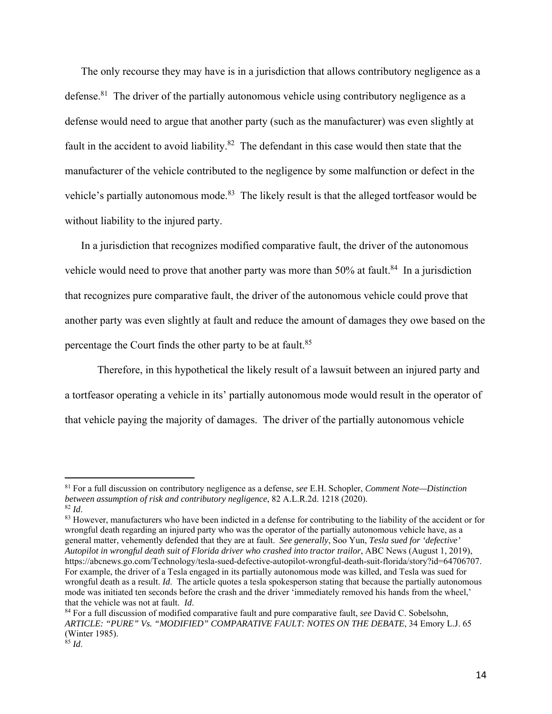The only recourse they may have is in a jurisdiction that allows contributory negligence as a defense.<sup>81</sup> The driver of the partially autonomous vehicle using contributory negligence as a defense would need to argue that another party (such as the manufacturer) was even slightly at fault in the accident to avoid liability. $82$  The defendant in this case would then state that the manufacturer of the vehicle contributed to the negligence by some malfunction or defect in the vehicle's partially autonomous mode.<sup>83</sup> The likely result is that the alleged tortfeasor would be without liability to the injured party.

In a jurisdiction that recognizes modified comparative fault, the driver of the autonomous vehicle would need to prove that another party was more than  $50\%$  at fault.<sup>84</sup> In a jurisdiction that recognizes pure comparative fault, the driver of the autonomous vehicle could prove that another party was even slightly at fault and reduce the amount of damages they owe based on the percentage the Court finds the other party to be at fault.<sup>85</sup>

 Therefore, in this hypothetical the likely result of a lawsuit between an injured party and a tortfeasor operating a vehicle in its' partially autonomous mode would result in the operator of that vehicle paying the majority of damages. The driver of the partially autonomous vehicle

<sup>81</sup> For a full discussion on contributory negligence as a defense, *see* E.H. Schopler, *Comment Note—Distinction between assumption of risk and contributory negligence*, 82 A.L.R.2d. 1218 (2020).

<sup>&</sup>lt;sup>82</sup> *Id.* 83 *Id*. 83 *M* and the state of the basis of the seeds of the light of the liability of the accident or for and the section of the accident or for the accident or for wrongful death regarding an injured party who was the operator of the partially autonomous vehicle have, as a general matter, vehemently defended that they are at fault. *See generally*, Soo Yun, *Tesla sued for 'defective' Autopilot in wrongful death suit of Florida driver who crashed into tractor trailor*, ABC News (August 1, 2019), https://abcnews.go.com/Technology/tesla-sued-defective-autopilot-wrongful-death-suit-florida/story?id=64706707. For example, the driver of a Tesla engaged in its partially autonomous mode was killed, and Tesla was sued for wrongful death as a result. *Id*. The article quotes a tesla spokesperson stating that because the partially autonomous mode was initiated ten seconds before the crash and the driver 'immediately removed his hands from the wheel,' that the vehicle was not at fault. *Id*.<br><sup>84</sup> For a full discussion of modified comparative fault and pure comparative fault, *see* David C. Sobelsohn,

*ARTICLE: "PURE" Vs. "MODIFIED" COMPARATIVE FAULT: NOTES ON THE DEBATE*, 34 Emory L.J. 65 (Winter 1985).

 $^{85}$  *Id.*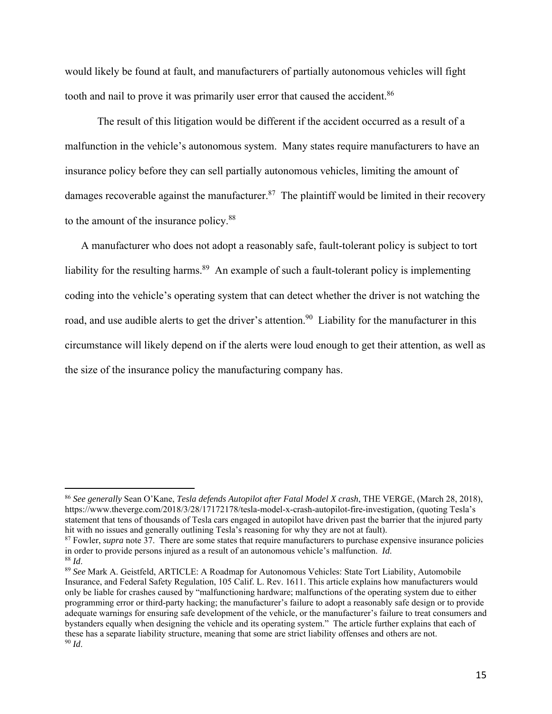would likely be found at fault, and manufacturers of partially autonomous vehicles will fight tooth and nail to prove it was primarily user error that caused the accident.<sup>86</sup>

 The result of this litigation would be different if the accident occurred as a result of a malfunction in the vehicle's autonomous system. Many states require manufacturers to have an insurance policy before they can sell partially autonomous vehicles, limiting the amount of damages recoverable against the manufacturer.<sup>87</sup> The plaintiff would be limited in their recovery to the amount of the insurance policy.88

A manufacturer who does not adopt a reasonably safe, fault-tolerant policy is subject to tort liability for the resulting harms.<sup>89</sup> An example of such a fault-tolerant policy is implementing coding into the vehicle's operating system that can detect whether the driver is not watching the road, and use audible alerts to get the driver's attention.<sup>90</sup> Liability for the manufacturer in this circumstance will likely depend on if the alerts were loud enough to get their attention, as well as the size of the insurance policy the manufacturing company has.

<sup>86</sup> *See generally* Sean O'Kane, *Tesla defends Autopilot after Fatal Model X crash*, THE VERGE, (March 28, 2018), https://www.theverge.com/2018/3/28/17172178/tesla-model-x-crash-autopilot-fire-investigation, (quoting Tesla's statement that tens of thousands of Tesla cars engaged in autopilot have driven past the barrier that the injured party hit with no issues and generally outlining Tesla's reasoning for why they are not at fault).

<sup>&</sup>lt;sup>87</sup> Fowler, *supra* note 37. There are some states that require manufacturers to purchase expensive insurance policies in order to provide persons injured as a result of an autonomous vehicle's malfunction. *Id*. <sup>88</sup> Id. <sup>88</sup> Id. <sup>38</sup> *Id.* 88 *Id.* 88 *Id.* 88 *Id.* 89 *See* Mark A. Geistfeld, ARTICLE: A Roadmap for Autonomous Vehicles: State Tort Liability, Automobile

Insurance, and Federal Safety Regulation, 105 Calif. L. Rev. 1611. This article explains how manufacturers would only be liable for crashes caused by "malfunctioning hardware; malfunctions of the operating system due to either programming error or third-party hacking; the manufacturer's failure to adopt a reasonably safe design or to provide adequate warnings for ensuring safe development of the vehicle, or the manufacturer's failure to treat consumers and bystanders equally when designing the vehicle and its operating system." The article further explains that each of these has a separate liability structure, meaning that some are strict liability offenses and others are not. <sup>90</sup> *Id*.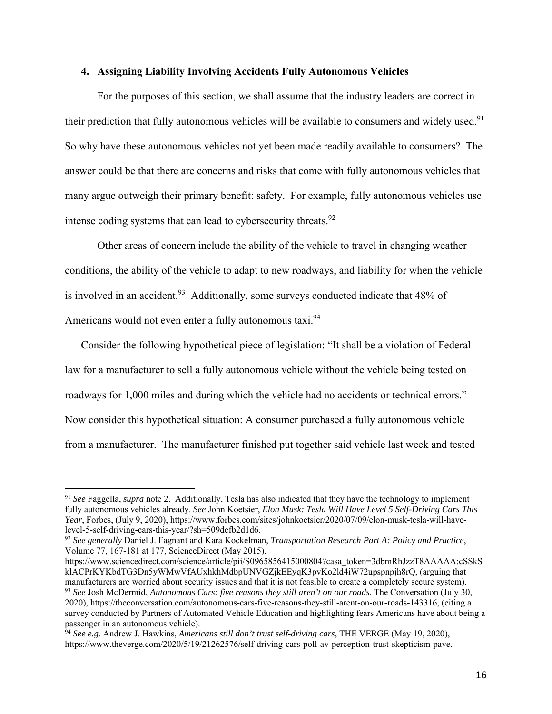### **4. Assigning Liability Involving Accidents Fully Autonomous Vehicles**

For the purposes of this section, we shall assume that the industry leaders are correct in their prediction that fully autonomous vehicles will be available to consumers and widely used.<sup>91</sup> So why have these autonomous vehicles not yet been made readily available to consumers? The answer could be that there are concerns and risks that come with fully autonomous vehicles that many argue outweigh their primary benefit: safety. For example, fully autonomous vehicles use intense coding systems that can lead to cybersecurity threats.<sup>92</sup>

Other areas of concern include the ability of the vehicle to travel in changing weather conditions, the ability of the vehicle to adapt to new roadways, and liability for when the vehicle is involved in an accident.<sup>93</sup> Additionally, some surveys conducted indicate that 48% of Americans would not even enter a fully autonomous taxi.<sup>94</sup>

Consider the following hypothetical piece of legislation: "It shall be a violation of Federal law for a manufacturer to sell a fully autonomous vehicle without the vehicle being tested on roadways for 1,000 miles and during which the vehicle had no accidents or technical errors." Now consider this hypothetical situation: A consumer purchased a fully autonomous vehicle from a manufacturer. The manufacturer finished put together said vehicle last week and tested

<sup>91</sup> *See* Faggella, *supra* note 2. Additionally, Tesla has also indicated that they have the technology to implement fully autonomous vehicles already. *See* John Koetsier, *Elon Musk: Tesla Will Have Level 5 Self-Driving Cars This Year*, Forbes, (July 9, 2020), https://www.forbes.com/sites/johnkoetsier/2020/07/09/elon-musk-tesla-will-havelevel-5-self-driving-cars-this-year/?sh=509defb2d1d6.

<sup>92</sup> *See generally* Daniel J. Fagnant and Kara Kockelman, *Transportation Research Part A: Policy and Practice*, Volume 77, 167-181 at 177, ScienceDirect (May 2015),

https://www.sciencedirect.com/science/article/pii/S0965856415000804?casa\_token=3dbmRhJzzT8AAAAA:cSSkS klACPrKYKbdTG3Dn5yWMwVfAUxhkhMdbpUNVGZjkEEyqK3pvKo2ld4iW72upspnpjh8rQ, (arguing that manufacturers are worried about security issues and that it is not feasible to create a completely secure system). <sup>93</sup> *See* Josh McDermid, *Autonomous Cars: five reasons they still aren't on our roads*, The Conversation (July 30, 2020), https://theconversation.com/autonomous-cars-five-reasons-they-still-arent-on-our-roads-143316, (citing a survey conducted by Partners of Automated Vehicle Education and highlighting fears Americans have about being a passenger in an autonomous vehicle).

<sup>94</sup> *See e.g.* Andrew J. Hawkins, *Americans still don't trust self-driving cars*, THE VERGE (May 19, 2020), https://www.theverge.com/2020/5/19/21262576/self-driving-cars-poll-av-perception-trust-skepticism-pave.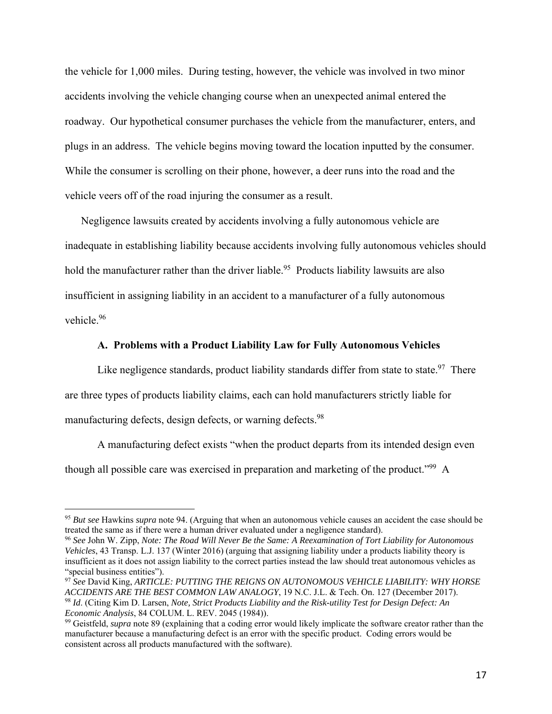the vehicle for 1,000 miles. During testing, however, the vehicle was involved in two minor accidents involving the vehicle changing course when an unexpected animal entered the roadway. Our hypothetical consumer purchases the vehicle from the manufacturer, enters, and plugs in an address. The vehicle begins moving toward the location inputted by the consumer. While the consumer is scrolling on their phone, however, a deer runs into the road and the vehicle veers off of the road injuring the consumer as a result.

Negligence lawsuits created by accidents involving a fully autonomous vehicle are inadequate in establishing liability because accidents involving fully autonomous vehicles should hold the manufacturer rather than the driver liable.<sup>95</sup> Products liability lawsuits are also insufficient in assigning liability in an accident to a manufacturer of a fully autonomous vehicle.96

#### **A. Problems with a Product Liability Law for Fully Autonomous Vehicles**

Like negligence standards, product liability standards differ from state to state.<sup>97</sup> There are three types of products liability claims, each can hold manufacturers strictly liable for manufacturing defects, design defects, or warning defects.<sup>98</sup>

A manufacturing defect exists "when the product departs from its intended design even though all possible care was exercised in preparation and marketing of the product."<sup>99</sup> A

<sup>95</sup> *But see* Hawkins *supra* note 94. (Arguing that when an autonomous vehicle causes an accident the case should be treated the same as if there were a human driver evaluated under a negligence standard).

<sup>96</sup> *See* John W. Zipp, *Note: The Road Will Never Be the Same: A Reexamination of Tort Liability for Autonomous Vehicles*, 43 Transp. L.J. 137 (Winter 2016) (arguing that assigning liability under a products liability theory is insufficient as it does not assign liability to the correct parties instead the law should treat autonomous vehicles as "special business entities").

<sup>97</sup> *See* David King, *ARTICLE: PUTTING THE REIGNS ON AUTONOMOUS VEHICLE LIABILITY: WHY HORSE ACCIDENTS ARE THE BEST COMMON LAW ANALOGY*, 19 N.C. J.L. & Tech. On. 127 (December 2017). <sup>98</sup> *Id*. (Citing Kim D. Larsen, *Note, Strict Products Liability and the Risk-utility Test for Design Defect: An Economic Analysis*, 84 COLUM. L. REV. 2045 (1984)).

<sup>99</sup> Geistfeld, *supra* note 89 (explaining that a coding error would likely implicate the software creator rather than the manufacturer because a manufacturing defect is an error with the specific product. Coding errors would be consistent across all products manufactured with the software).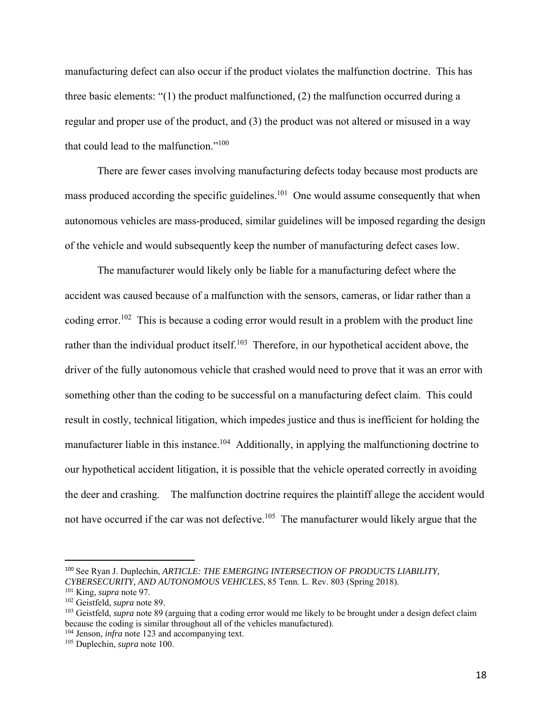manufacturing defect can also occur if the product violates the malfunction doctrine. This has three basic elements: "(1) the product malfunctioned, (2) the malfunction occurred during a regular and proper use of the product, and (3) the product was not altered or misused in a way that could lead to the malfunction."100

There are fewer cases involving manufacturing defects today because most products are mass produced according the specific guidelines.<sup>101</sup> One would assume consequently that when autonomous vehicles are mass-produced, similar guidelines will be imposed regarding the design of the vehicle and would subsequently keep the number of manufacturing defect cases low.

The manufacturer would likely only be liable for a manufacturing defect where the accident was caused because of a malfunction with the sensors, cameras, or lidar rather than a coding error.<sup>102</sup> This is because a coding error would result in a problem with the product line rather than the individual product itself.<sup>103</sup> Therefore, in our hypothetical accident above, the driver of the fully autonomous vehicle that crashed would need to prove that it was an error with something other than the coding to be successful on a manufacturing defect claim. This could result in costly, technical litigation, which impedes justice and thus is inefficient for holding the manufacturer liable in this instance.<sup>104</sup> Additionally, in applying the malfunctioning doctrine to our hypothetical accident litigation, it is possible that the vehicle operated correctly in avoiding the deer and crashing. The malfunction doctrine requires the plaintiff allege the accident would not have occurred if the car was not defective.<sup>105</sup> The manufacturer would likely argue that the

<sup>100</sup> See Ryan J. Duplechin, *ARTICLE: THE EMERGING INTERSECTION OF PRODUCTS LIABILITY, CYBERSECURITY, AND AUTONOMOUS VEHICLES*, 85 Tenn. L. Rev. 803 (Spring 2018).

<sup>101</sup> King, *supra* note 97.

<sup>102</sup> Geistfeld, *supra* note 89.

<sup>103</sup> Geistfeld, *supra* note 89 (arguing that a coding error would me likely to be brought under a design defect claim because the coding is similar throughout all of the vehicles manufactured).

<sup>&</sup>lt;sup>104</sup> Jenson, *infra* note 123 and accompanying text.

<sup>105</sup> Duplechin, *supra* note 100.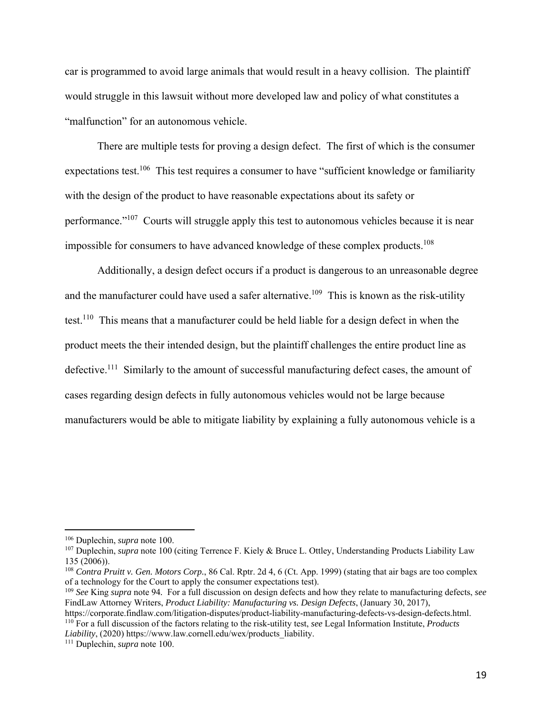car is programmed to avoid large animals that would result in a heavy collision. The plaintiff would struggle in this lawsuit without more developed law and policy of what constitutes a "malfunction" for an autonomous vehicle.

There are multiple tests for proving a design defect. The first of which is the consumer expectations test.<sup>106</sup> This test requires a consumer to have "sufficient knowledge or familiarity with the design of the product to have reasonable expectations about its safety or performance."107 Courts will struggle apply this test to autonomous vehicles because it is near impossible for consumers to have advanced knowledge of these complex products.<sup>108</sup>

Additionally, a design defect occurs if a product is dangerous to an unreasonable degree and the manufacturer could have used a safer alternative.<sup>109</sup> This is known as the risk-utility test.<sup>110</sup> This means that a manufacturer could be held liable for a design defect in when the product meets the their intended design, but the plaintiff challenges the entire product line as defective.<sup>111</sup> Similarly to the amount of successful manufacturing defect cases, the amount of cases regarding design defects in fully autonomous vehicles would not be large because manufacturers would be able to mitigate liability by explaining a fully autonomous vehicle is a

<sup>106</sup> Duplechin, *supra* note 100.

<sup>&</sup>lt;sup>107</sup> Duplechin, *supra* note 100 (citing Terrence F. Kiely & Bruce L. Ottley, Understanding Products Liability Law 135 (2006)).

<sup>108</sup> *Contra Pruitt v. Gen. Motors Corp.*, 86 Cal. Rptr. 2d 4, 6 (Ct. App. 1999) (stating that air bags are too complex of a technology for the Court to apply the consumer expectations test).

<sup>109</sup> *See* King *supra* note 94*.* For a full discussion on design defects and how they relate to manufacturing defects, *see* FindLaw Attorney Writers, *Product Liability: Manufacturing vs. Design Defects*, (January 30, 2017),

https://corporate.findlaw.com/litigation-disputes/product-liability-manufacturing-defects-vs-design-defects.html. 110 For a full discussion of the factors relating to the risk-utility test, *see* Legal Information Institute, *Products Liability*, (2020) https://www.law.cornell.edu/wex/products\_liability. 111 Duplechin, *supra* note 100.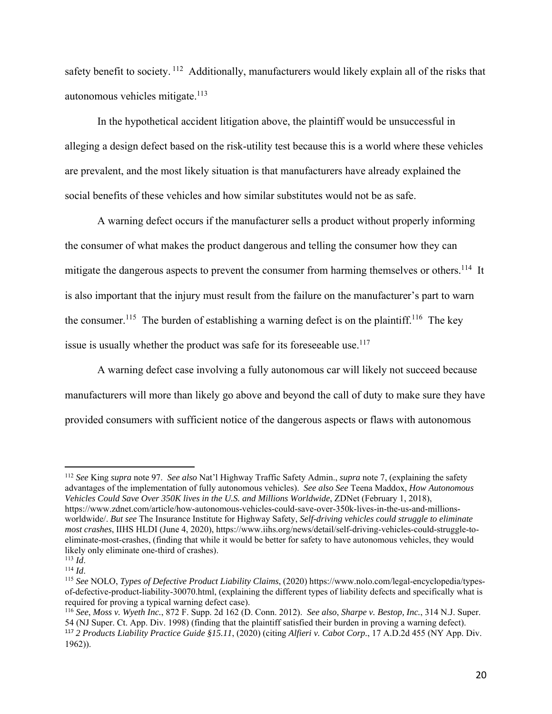safety benefit to society. <sup>112</sup> Additionally, manufacturers would likely explain all of the risks that autonomous vehicles mitigate. $113$ 

In the hypothetical accident litigation above, the plaintiff would be unsuccessful in alleging a design defect based on the risk-utility test because this is a world where these vehicles are prevalent, and the most likely situation is that manufacturers have already explained the social benefits of these vehicles and how similar substitutes would not be as safe.

A warning defect occurs if the manufacturer sells a product without properly informing the consumer of what makes the product dangerous and telling the consumer how they can mitigate the dangerous aspects to prevent the consumer from harming themselves or others.<sup>114</sup> It is also important that the injury must result from the failure on the manufacturer's part to warn the consumer.<sup>115</sup> The burden of establishing a warning defect is on the plaintiff.<sup>116</sup> The key issue is usually whether the product was safe for its foreseeable use.<sup>117</sup>

A warning defect case involving a fully autonomous car will likely not succeed because manufacturers will more than likely go above and beyond the call of duty to make sure they have provided consumers with sufficient notice of the dangerous aspects or flaws with autonomous

<sup>112</sup> *See* King *supra* note 97. *See also* Nat'l Highway Traffic Safety Admin., *supra* note 7, (explaining the safety advantages of the implementation of fully autonomous vehicles). *See also See* Teena Maddox, *How Autonomous Vehicles Could Save Over 350K lives in the U.S. and Millions Worldwide*, ZDNet (February 1, 2018), https://www.zdnet.com/article/how-autonomous-vehicles-could-save-over-350k-lives-in-the-us-and-millionsworldwide/. *But see* The Insurance Institute for Highway Safety, *Self-driving vehicles could struggle to eliminate most crashes*, IIHS HLDI (June 4, 2020), https://www.iihs.org/news/detail/self-driving-vehicles-could-struggle-toeliminate-most-crashes, (finding that while it would be better for safety to have autonomous vehicles, they would likely only eliminate one-third of crashes).<br> $^{113}$  *Id.* 

<sup>&</sup>lt;sup>114</sup> *Id.* 115 *Id.* 115 *Idd.* 115 *See* NOLO, *Types of Defective Product Liability Claims*, (2020) https://www.nolo.com/legal-encyclopedia/typesof-defective-product-liability-30070.html, (explaining the different types of liability defects and specifically what is required for proving a typical warning defect case).

<sup>116</sup> *See*, *Moss v. Wyeth Inc.*, 872 F. Supp. 2d 162 (D. Conn. 2012). *See also*, *Sharpe v. Bestop, Inc.*, 314 N.J. Super. 54 (NJ Super. Ct. App. Div. 1998) (finding that the plaintiff satisfied their burden in proving a warning defect). <sup>117</sup> *2 Products Liability Practice Guide §15.11*, (2020) (citing *Alfieri v. Cabot Corp.*, 17 A.D.2d 455 (NY App. Div. 1962)).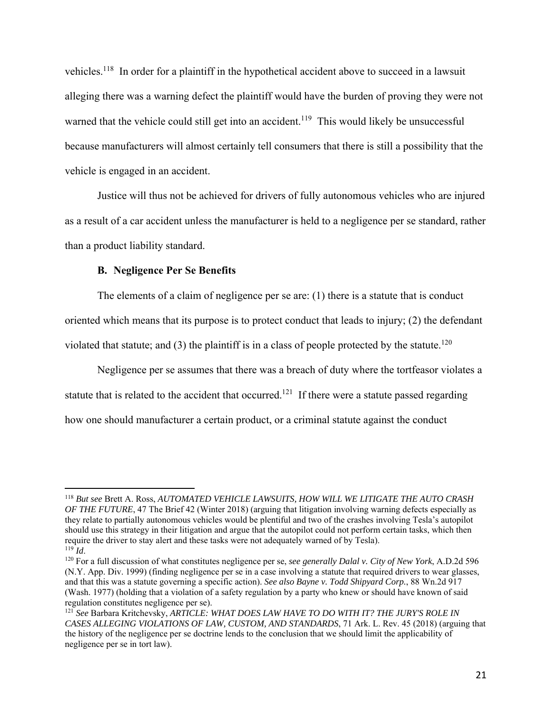vehicles.118 In order for a plaintiff in the hypothetical accident above to succeed in a lawsuit alleging there was a warning defect the plaintiff would have the burden of proving they were not warned that the vehicle could still get into an accident.<sup>119</sup> This would likely be unsuccessful because manufacturers will almost certainly tell consumers that there is still a possibility that the vehicle is engaged in an accident.

Justice will thus not be achieved for drivers of fully autonomous vehicles who are injured as a result of a car accident unless the manufacturer is held to a negligence per se standard, rather than a product liability standard.

# **B. Negligence Per Se Benefits**

The elements of a claim of negligence per se are: (1) there is a statute that is conduct oriented which means that its purpose is to protect conduct that leads to injury; (2) the defendant violated that statute; and (3) the plaintiff is in a class of people protected by the statute.<sup>120</sup>

Negligence per se assumes that there was a breach of duty where the tortfeasor violates a statute that is related to the accident that occurred.<sup>121</sup> If there were a statute passed regarding how one should manufacturer a certain product, or a criminal statute against the conduct

<sup>118</sup> *But see* Brett A. Ross, *AUTOMATED VEHICLE LAWSUITS, HOW WILL WE LITIGATE THE AUTO CRASH OF THE FUTURE*, 47 The Brief 42 (Winter 2018) (arguing that litigation involving warning defects especially as they relate to partially autonomous vehicles would be plentiful and two of the crashes involving Tesla's autopilot should use this strategy in their litigation and argue that the autopilot could not perform certain tasks, which then require the driver to stay alert and these tasks were not adequately warned of by Tesla).<br> $^{119}$  *Id.* 

<sup>119</sup> *Id*. 120 For a full discussion of what constitutes negligence per se, *see generally Dalal v. City of New York*, A.D.2d 596 (N.Y. App. Div. 1999) (finding negligence per se in a case involving a statute that required drivers to wear glasses, and that this was a statute governing a specific action). *See also Bayne v. Todd Shipyard Corp.*, 88 Wn.2d 917 (Wash. 1977) (holding that a violation of a safety regulation by a party who knew or should have known of said regulation constitutes negligence per se).

<sup>&</sup>lt;sup>121</sup> See Barbara Kritchevsky, *ARTICLE: WHAT DOES LAW HAVE TO DO WITH IT? THE JURY'S ROLE IN CASES ALLEGING VIOLATIONS OF LAW, CUSTOM, AND STANDARDS*, 71 Ark. L. Rev. 45 (2018) (arguing that the history of the negligence per se doctrine lends to the conclusion that we should limit the applicability of negligence per se in tort law).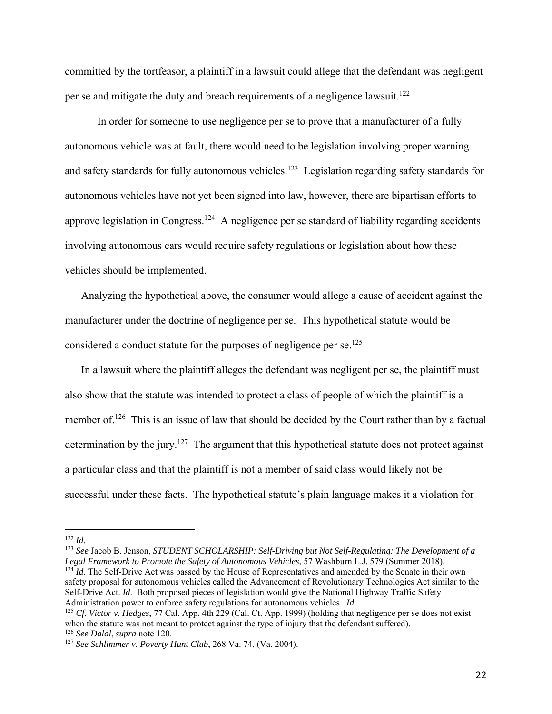committed by the tortfeasor, a plaintiff in a lawsuit could allege that the defendant was negligent per se and mitigate the duty and breach requirements of a negligence lawsuit.<sup>122</sup>

In order for someone to use negligence per se to prove that a manufacturer of a fully autonomous vehicle was at fault, there would need to be legislation involving proper warning and safety standards for fully autonomous vehicles.<sup>123</sup> Legislation regarding safety standards for autonomous vehicles have not yet been signed into law, however, there are bipartisan efforts to approve legislation in Congress.<sup>124</sup> A negligence per se standard of liability regarding accidents involving autonomous cars would require safety regulations or legislation about how these vehicles should be implemented.

Analyzing the hypothetical above, the consumer would allege a cause of accident against the manufacturer under the doctrine of negligence per se. This hypothetical statute would be considered a conduct statute for the purposes of negligence per se.<sup>125</sup>

In a lawsuit where the plaintiff alleges the defendant was negligent per se, the plaintiff must also show that the statute was intended to protect a class of people of which the plaintiff is a member of.<sup>126</sup> This is an issue of law that should be decided by the Court rather than by a factual determination by the jury.<sup>127</sup> The argument that this hypothetical statute does not protect against a particular class and that the plaintiff is not a member of said class would likely not be successful under these facts. The hypothetical statute's plain language makes it a violation for

<sup>122</sup> *Id*.

<sup>&</sup>lt;sup>123</sup> *See* Jacob B. Jenson, *STUDENT SCHOLARSHIP: Self-Driving but Not Self-Regulating: The Development of a Legal Framework to Promote the Safety of Autonomous Vehicles, 57 Washburn L.J. 579 (Summer 2018).* <sup>124</sup> *Id.* The Self-Drive Act was passed by the House of Representatives and amended by the Senate in their own safety proposal for autonomous vehicles called the Advancement of Revolutionary Technologies Act similar to the Self-Drive Act. *Id*. Both proposed pieces of legislation would give the National Highway Traffic Safety Administration power to enforce safety regulations for autonomous vehicles. *Id*.

<sup>&</sup>lt;sup>125</sup> *Cf. Victor v. Hedges*, 77 Cal. App. 4th 229 (Cal. Ct. App. 1999) (holding that negligence per se does not exist when the statute was not meant to protect against the type of injury that the defendant suffered). <sup>126</sup> *See Dalal*, *supra* note 120.

<sup>127</sup> *See Schlimmer v. Poverty Hunt Club*, 268 Va. 74, (Va. 2004).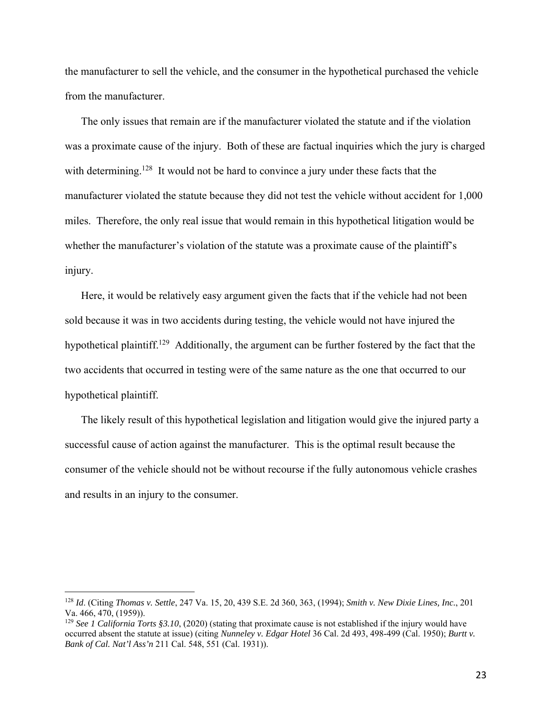the manufacturer to sell the vehicle, and the consumer in the hypothetical purchased the vehicle from the manufacturer.

The only issues that remain are if the manufacturer violated the statute and if the violation was a proximate cause of the injury. Both of these are factual inquiries which the jury is charged with determining.<sup>128</sup> It would not be hard to convince a jury under these facts that the manufacturer violated the statute because they did not test the vehicle without accident for 1,000 miles. Therefore, the only real issue that would remain in this hypothetical litigation would be whether the manufacturer's violation of the statute was a proximate cause of the plaintiff's injury.

Here, it would be relatively easy argument given the facts that if the vehicle had not been sold because it was in two accidents during testing, the vehicle would not have injured the hypothetical plaintiff.<sup>129</sup> Additionally, the argument can be further fostered by the fact that the two accidents that occurred in testing were of the same nature as the one that occurred to our hypothetical plaintiff.

The likely result of this hypothetical legislation and litigation would give the injured party a successful cause of action against the manufacturer. This is the optimal result because the consumer of the vehicle should not be without recourse if the fully autonomous vehicle crashes and results in an injury to the consumer.

<sup>128</sup> *Id*. (Citing *Thomas v. Settle*, 247 Va. 15, 20, 439 S.E. 2d 360, 363, (1994); *Smith v. New Dixie Lines, Inc.*, 201 Va. 466, 470, (1959)).

<sup>129</sup> *See 1 California Torts §3.10*, (2020) (stating that proximate cause is not established if the injury would have occurred absent the statute at issue) (citing *Nunneley v. Edgar Hotel* 36 Cal. 2d 493, 498-499 (Cal. 1950); *Burtt v. Bank of Cal. Nat'l Ass'n* 211 Cal. 548, 551 (Cal. 1931)).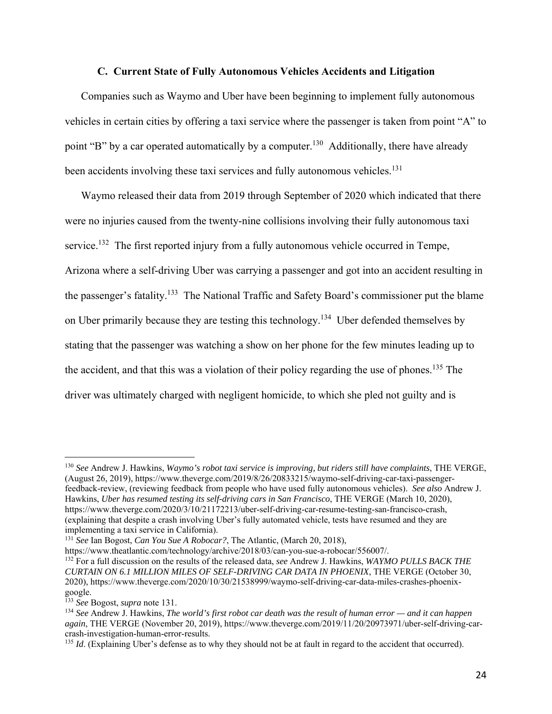#### **C. Current State of Fully Autonomous Vehicles Accidents and Litigation**

Companies such as Waymo and Uber have been beginning to implement fully autonomous vehicles in certain cities by offering a taxi service where the passenger is taken from point "A" to point "B" by a car operated automatically by a computer.<sup>130</sup> Additionally, there have already been accidents involving these taxi services and fully autonomous vehicles.<sup>131</sup>

Waymo released their data from 2019 through September of 2020 which indicated that there were no injuries caused from the twenty-nine collisions involving their fully autonomous taxi service.<sup>132</sup> The first reported injury from a fully autonomous vehicle occurred in Tempe, Arizona where a self-driving Uber was carrying a passenger and got into an accident resulting in the passenger's fatality.133 The National Traffic and Safety Board's commissioner put the blame on Uber primarily because they are testing this technology.<sup>134</sup> Uber defended themselves by stating that the passenger was watching a show on her phone for the few minutes leading up to the accident, and that this was a violation of their policy regarding the use of phones.<sup>135</sup> The driver was ultimately charged with negligent homicide, to which she pled not guilty and is

https://www.theatlantic.com/technology/archive/2018/03/can-you-sue-a-robocar/556007/. 132 For a full discussion on the results of the released data, *see* Andrew J. Hawkins, *WAYMO PULLS BACK THE CURTAIN ON 6.1 MILLION MILES OF SELF-DRIVING CAR DATA IN PHOENIX*, THE VERGE (October 30, 2020), https://www.theverge.com/2020/10/30/21538999/waymo-self-driving-car-data-miles-crashes-phoenixgoogle.

<sup>130</sup> *See* Andrew J. Hawkins, *Waymo's robot taxi service is improving, but riders still have complaints*, THE VERGE, (August 26, 2019), https://www.theverge.com/2019/8/26/20833215/waymo-self-driving-car-taxi-passengerfeedback-review, (reviewing feedback from people who have used fully autonomous vehicles). *See also* Andrew J. Hawkins, *Uber has resumed testing its self-driving cars in San Francisco*, THE VERGE (March 10, 2020), https://www.theverge.com/2020/3/10/21172213/uber-self-driving-car-resume-testing-san-francisco-crash, (explaining that despite a crash involving Uber's fully automated vehicle, tests have resumed and they are implementing a taxi service in California).

<sup>131</sup> *See* Ian Bogost, *Can You Sue A Robocar?*, The Atlantic, (March 20, 2018),

<sup>133</sup> *See* Bogost, *supra* note 131.

<sup>134</sup> *See* Andrew J. Hawkins, *The world's first robot car death was the result of human error — and it can happen again*, THE VERGE (November 20, 2019), https://www.theverge.com/2019/11/20/20973971/uber-self-driving-carcrash-investigation-human-error-results.

<sup>&</sup>lt;sup>135</sup> *Id*. (Explaining Uber's defense as to why they should not be at fault in regard to the accident that occurred).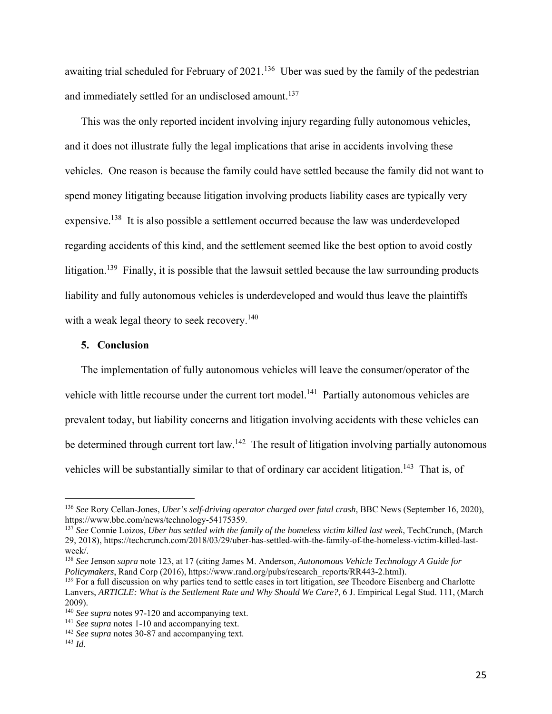awaiting trial scheduled for February of 2021.<sup>136</sup> Uber was sued by the family of the pedestrian and immediately settled for an undisclosed amount.<sup>137</sup>

This was the only reported incident involving injury regarding fully autonomous vehicles, and it does not illustrate fully the legal implications that arise in accidents involving these vehicles. One reason is because the family could have settled because the family did not want to spend money litigating because litigation involving products liability cases are typically very expensive.138 It is also possible a settlement occurred because the law was underdeveloped regarding accidents of this kind, and the settlement seemed like the best option to avoid costly litigation.<sup>139</sup> Finally, it is possible that the lawsuit settled because the law surrounding products liability and fully autonomous vehicles is underdeveloped and would thus leave the plaintiffs with a weak legal theory to seek recovery.<sup>140</sup>

#### **5. Conclusion**

The implementation of fully autonomous vehicles will leave the consumer/operator of the vehicle with little recourse under the current tort model.<sup>141</sup> Partially autonomous vehicles are prevalent today, but liability concerns and litigation involving accidents with these vehicles can be determined through current tort law.<sup>142</sup> The result of litigation involving partially autonomous vehicles will be substantially similar to that of ordinary car accident litigation.<sup>143</sup> That is, of

<sup>136</sup> *See* Rory Cellan-Jones, *Uber's self-driving operator charged over fatal crash*, BBC News (September 16, 2020), https://www.bbc.com/news/technology-54175359.

<sup>137</sup> *See* Connie Loizos, *Uber has settled with the family of the homeless victim killed last week*, TechCrunch, (March 29, 2018), https://techcrunch.com/2018/03/29/uber-has-settled-with-the-family-of-the-homeless-victim-killed-lastweek/.

<sup>138</sup> *See* Jenson *supra* note 123, at 17 (citing James M. Anderson, *Autonomous Vehicle Technology A Guide for Policymakers*, Rand Corp (2016), https://www.rand.org/pubs/research\_reports/RR443-2.html).

<sup>&</sup>lt;sup>139</sup> For a full discussion on why parties tend to settle cases in tort litigation, *see* Theodore Eisenberg and Charlotte Lanvers, *ARTICLE: What is the Settlement Rate and Why Should We Care?*, 6 J. Empirical Legal Stud. 111, (March 2009).<br><sup>140</sup> See supra notes 97-120 and accompanying text.

<sup>&</sup>lt;sup>141</sup> *See supra* notes 1-10 and accompanying text. <sup>142</sup> *See supra* notes 30-87 and accompanying text.

<sup>143</sup> *Id*.